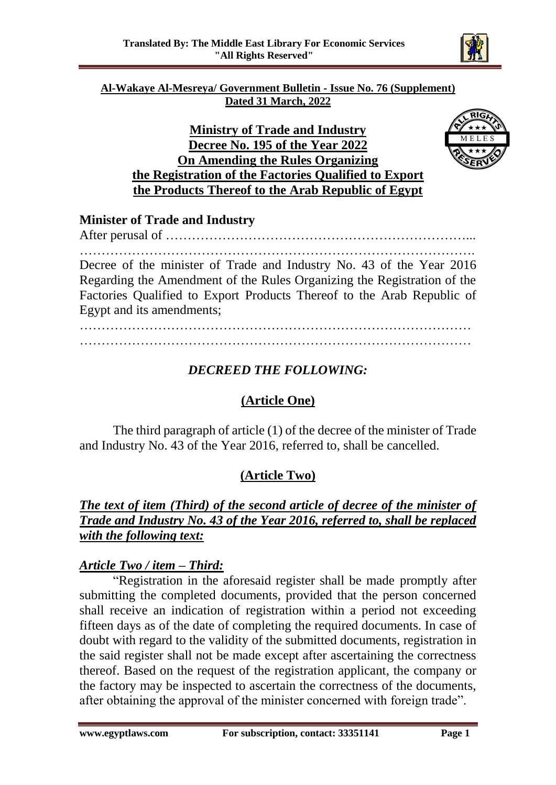

#### **Al-Wakaye Al-Mesreya/ Government Bulletin - Issue No. 76 (Supplement) Dated 31 March, 2022**

### **Ministry of Trade and Industry Decree No. 195 of the Year 2022 On Amending the Rules Organizing the Registration of the Factories Qualified to Export the Products Thereof to the Arab Republic of Egypt**



### **Minister of Trade and Industry**

After perusal of ……………………………………………………………... ………………………………………………………………………………. Decree of the minister of Trade and Industry No. 43 of the Year 2016 Regarding the Amendment of the Rules Organizing the Registration of the Factories Qualified to Export Products Thereof to the Arab Republic of Egypt and its amendments;

……………………………………………………………………………… ………………………………………………………………………………

# *DECREED THE FOLLOWING:*

# **(Article One)**

The third paragraph of article (1) of the decree of the minister of Trade and Industry No. 43 of the Year 2016, referred to, shall be cancelled.

### **(Article Two)**

### *The text of item (Third) of the second article of decree of the minister of Trade and Industry No. 43 of the Year 2016, referred to, shall be replaced with the following text:*

### *Article Two / item – Third:*

"Registration in the aforesaid register shall be made promptly after submitting the completed documents, provided that the person concerned shall receive an indication of registration within a period not exceeding fifteen days as of the date of completing the required documents. In case of doubt with regard to the validity of the submitted documents, registration in the said register shall not be made except after ascertaining the correctness thereof. Based on the request of the registration applicant, the company or the factory may be inspected to ascertain the correctness of the documents, after obtaining the approval of the minister concerned with foreign trade".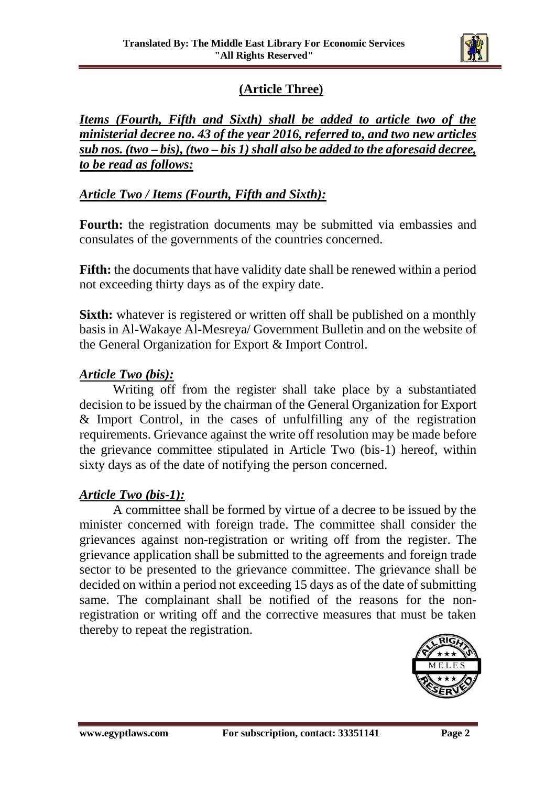

## **(Article Three)**

*Items (Fourth, Fifth and Sixth) shall be added to article two of the ministerial decree no. 43 of the year 2016, referred to, and two new articles sub nos. (two – bis), (two – bis 1) shall also be added to the aforesaid decree, to be read as follows:*

#### *Article Two / Items (Fourth, Fifth and Sixth):*

**Fourth:** the registration documents may be submitted via embassies and consulates of the governments of the countries concerned.

**Fifth:** the documents that have validity date shall be renewed within a period not exceeding thirty days as of the expiry date.

**Sixth:** whatever is registered or written off shall be published on a monthly basis in Al-Wakaye Al-Mesreya/ Government Bulletin and on the website of the General Organization for Export & Import Control.

#### *Article Two (bis):*

Writing off from the register shall take place by a substantiated decision to be issued by the chairman of the General Organization for Export & Import Control, in the cases of unfulfilling any of the registration requirements. Grievance against the write off resolution may be made before the grievance committee stipulated in Article Two (bis-1) hereof, within sixty days as of the date of notifying the person concerned.

#### *Article Two (bis-1):*

A committee shall be formed by virtue of a decree to be issued by the minister concerned with foreign trade. The committee shall consider the grievances against non-registration or writing off from the register. The grievance application shall be submitted to the agreements and foreign trade sector to be presented to the grievance committee. The grievance shall be decided on within a period not exceeding 15 days as of the date of submitting same. The complainant shall be notified of the reasons for the nonregistration or writing off and the corrective measures that must be taken thereby to repeat the registration.